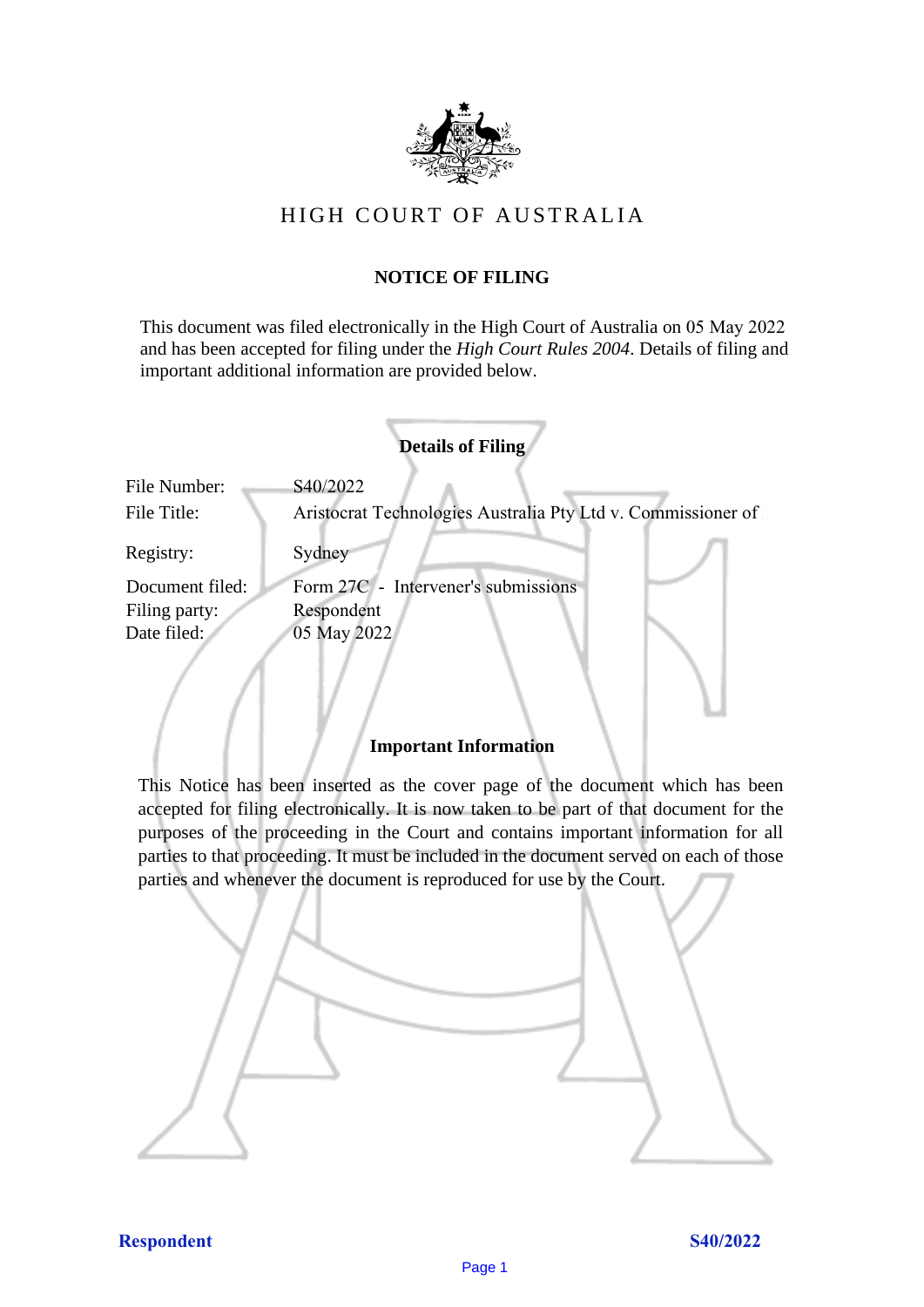

# HIGH COURT OF AU STRALIA HIGH COURT OF AUSTRALIA

## **NOTICE OF FILING** NOTICE OF FILING

This document was filed electronically in the High Court of Australia on 05 May 2022 and has been accepted for filing under the *High Court Rules 2004*. Details of filing and important additional information are provided below. important additional information are provided below.

| <b>Details of Filing</b>    |                                                                          |
|-----------------------------|--------------------------------------------------------------------------|
| File Number:<br>File Title: | S40/2022<br>Aristocrat Technologies Australia Pty Ltd v. Commissioner of |
| Registry:                   | Sydney                                                                   |
| Document filed:             | Form 27C - Intervener's submissions                                      |
| Filing party:               | Respondent                                                               |
| Date filed:                 | 05 May 2022                                                              |
|                             |                                                                          |

### **Important Information** Important Information

This Notice has been inserted as the cover page of the document which has been accepted for filing electronically. It is now taken to be part of that document for the purposes of the proceeding in the Court and contains important information for all parties to that proceeding. It must be included in the document served on each of those parties and whenever the document is reproduced for use by the Court. parties and whenever the document is reproduced for use by the Court

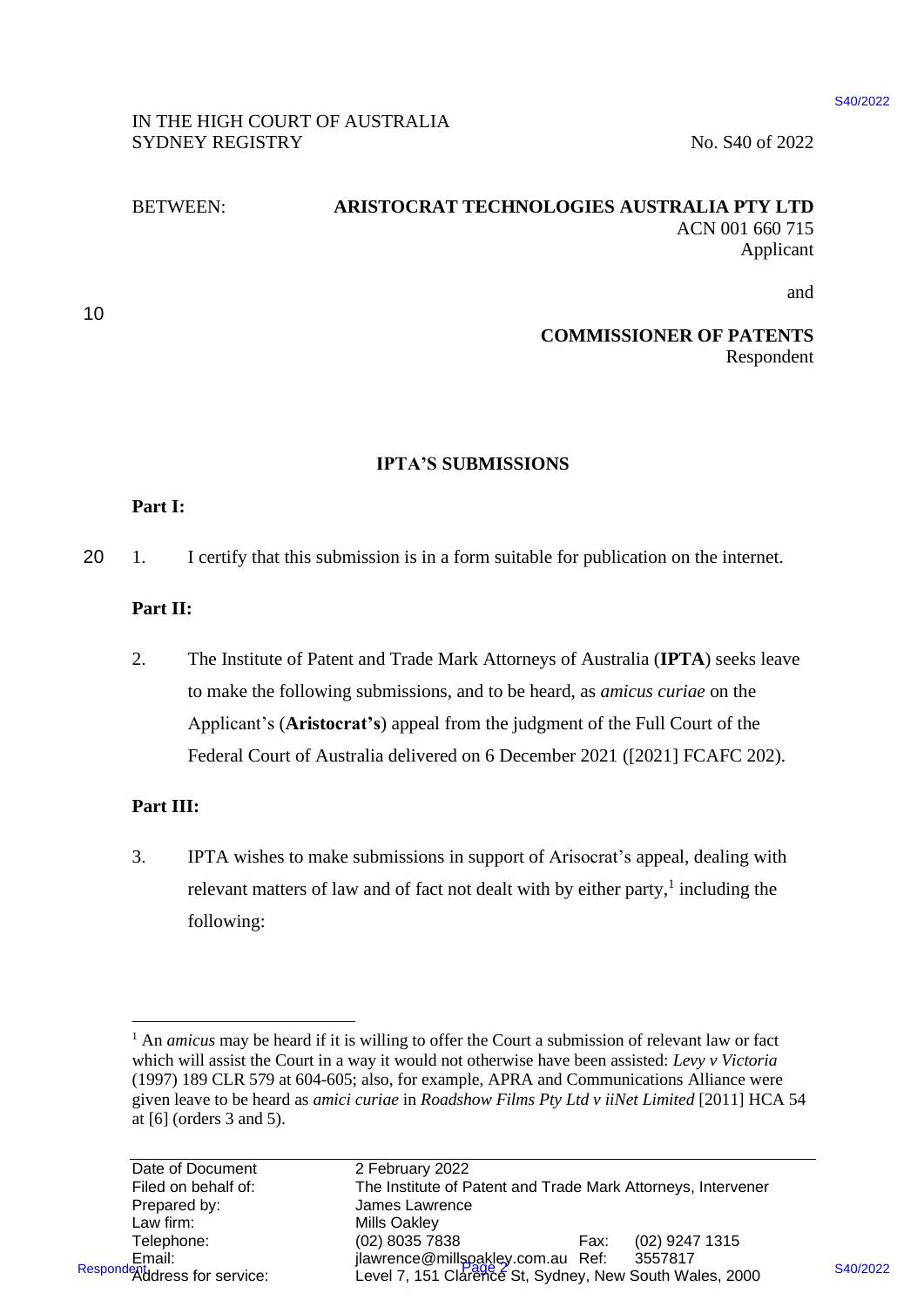### IN THE HIGH COURT OF AUSTRALIA IN THE HIGH COURT OF AUSTRALIA SYDNEY REGISTRY No. S40 of 2022

### BETWEEN: **ARISTOCRAT TECHNOLOGIES AUSTRALIA PTY LTD** BETWEEN: ARISTOCRAT TECHNOLOGIES AUSTRALIA PTY LTD ACN 001 660 715 ACN 001 660 715 Applicant Applicant

10 10

and and

#### **COMMISSIONER OF PATENTS** COMMISSIONER OF PATENTS Respondent Respondent

### **IPTA'S SUBMISSIONS** IPTA'S SUBMISSIONS

### **Part I:** Part I:

20 1. I certify that this submission is in a form suitable for publication on the internet. 20 1. I certify that this submission is in <sup>a</sup> form suitable for publication on the internet.

## **Part II:** Part II:

2. The Institute of Patent and Trade Mark Attorneys of Australia (**IPTA**) seeks leave 2. The Institute of Patent and Trade Mark Attorneys of Australia (IPTA) seeks leave to make the following submissions, and to be heard, as *amicus curiae* on the to make the following submissions, and to be heard, as amicus curiae on the Applicant's (**Aristocrat's**) appeal from the judgment of the Full Court of the Applicant's (Aristocrat's) appeal from the judgment of the Full Court of the Federal Court of Australia delivered on 6 December 2021 ([2021] FCAFC 202). Federal Court of Australia delivered on 6 December 2021 ([2021] FCAFC 202).

## **Part III:** Part III:

3. IPTA wishes to make submissions in support of Arisocrat's appeal, dealing with 3. IPTA wishes to make submissions in support of Arisocrat's appeal, dealing with relevant matters of law and of fact not dealt with by either party,<sup>1</sup> including the following: following:

\$40/2022

<sup>&</sup>lt;sup>1</sup> An *amicus* may be heard if it is willing to offer the Court a submission of relevant law or fact which will assist the Court in a way it would not otherwise have been assisted: *Levy v Victoria* which will assist the Court in <sup>a</sup> way it would not otherwise have been assisted: Levy v Victoria (1997) 189 CLR 579 at 604-605; also, for example, APRA and Communications Alliance were (1997) 189 CLR 579 at 604-605; also, for example, APRA and Communications Alliance were given leave to be heard as *amici curiae* in *Roadshow Films Pty Ltd v iiNet Limited* [2011] HCA 54 given leave to be heard as amici curiae inRoadshow Films Pty Ltd v iiNet Limited[2011] HCA 54 at [6] (orders 3 and 5). at [6] (orders 3 and 5).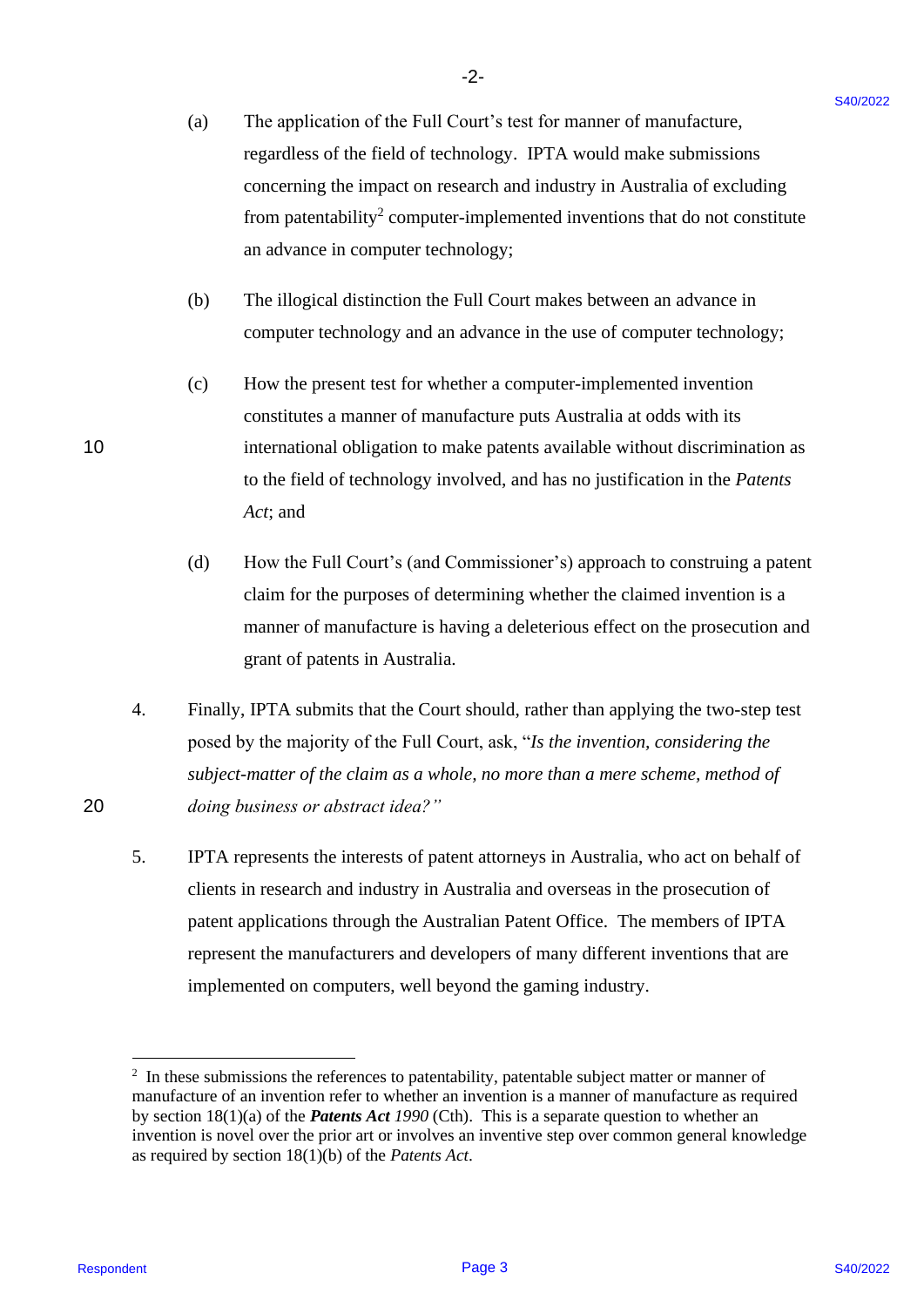- (a) The application of the Full Court's test for manner of manufacture, (a) The application of the Full Court's test for manner of manufacture, "we regardless of the field of technology. IPTA would make submissions regardless of the field of technology. IPTA would make submissions concerning the impact on research and industry in Australia of excluding concerning the impact on research and industry in Australia of excluding from patentability<sup>2</sup> computer-implemented inventions that do not constitute an advance in computer technology; an advance in computer technology;
- (b) The illogical distinction the Full Court makes between an advance in (b) The illogical distinction the Full Court makes between an advance in computer technology and an advance in the use of computer technology;
- (c) How the present test for whether a computer-implemented invention (c) How the present test for whether a computer-implemented invention constitutes a manner of manufacture puts Australia at odds with its constitutes <sup>a</sup> manner of manufacture puts Australia at odds with its 10 international obligation to make patents available without discrimination as to the field of technology involved, and has no justification in the *Patents*  to the field of technology involved, and has no justification in the Patents *Act*; and Act; and
	- (d) How the Full Court's (and Commissioner's) approach to construing a patent (d) How the Full Court's (and Commissioner's) approach to construing a patent claim for the purposes of determining whether the claimed invention is a claim for the purposes of determining whether the claimed invention is <sup>a</sup> manner of manufacture is having a deleterious effect on the prosecution and manner of manufacture is having <sup>a</sup> deleterious effect on the prosecution and grant of patents in Australia. grant of patents in Australia.
- 4. Finally, IPTA submits that the Court should, rather than applying the two-step test 4. Finally, IPTA submits that the Court should, rather than applying the two-step test posed by the majority of the Full Court, ask, "*Is the invention, considering the*  posed by the majority of the Full Court, ask, "/s the invention, considering the subject-matter of the claim as a whole, no more than a mere scheme, method of 20 *doing business or abstract idea?"* 20 doing business or abstract idea?"
- 5. IPTA represents the interests of patent attorneys in Australia, who act on behalf of 5. IPTA represents the interests of patent attorneys in Australia, who act on behalf of clients in research and industry in Australia and overseas in the prosecution of patent applications through the Australian Patent Office. The members of IPTA patent applications through the Australian Patent Office. The members of IPTA represent the manufacturers and developers of many different inventions that are represent the manufacturers and developers of many different inventions that are implemented on computers, well beyond the gaming industry. implemented on computers, well beyond the gaming industry. (a) The application of the Full Court's test for manner of an<br>antichruse.<br>
respondence to the full of the shock of the Marita of cochoinnes<br>
concerning the inappet on executive and industry in Australia of excluding<br>
from

 $2\;\;$  In these submissions the references to patentability, patentable subject matter or manner of manufacture of an invention refer to whether an invention is a manner of manufacture as required manufacture of an invention refer to whether an invention is a manner of manufacture as required by section 18(1)(a) of the *Patents Act 1990* (Cth). This is a separate question to whether an by section 18(1)(a) of the Patents Act 1990 (Cth). This is a separate question to whether an invention is novel over the prior art or involves an inventive step over common general knowledge invention is novel over the prior art or involves an inventive step over common general knowledge as required by section 18(1)(b) of the *Patents Act*. as required by section 18(1)(b) of the Patents Act.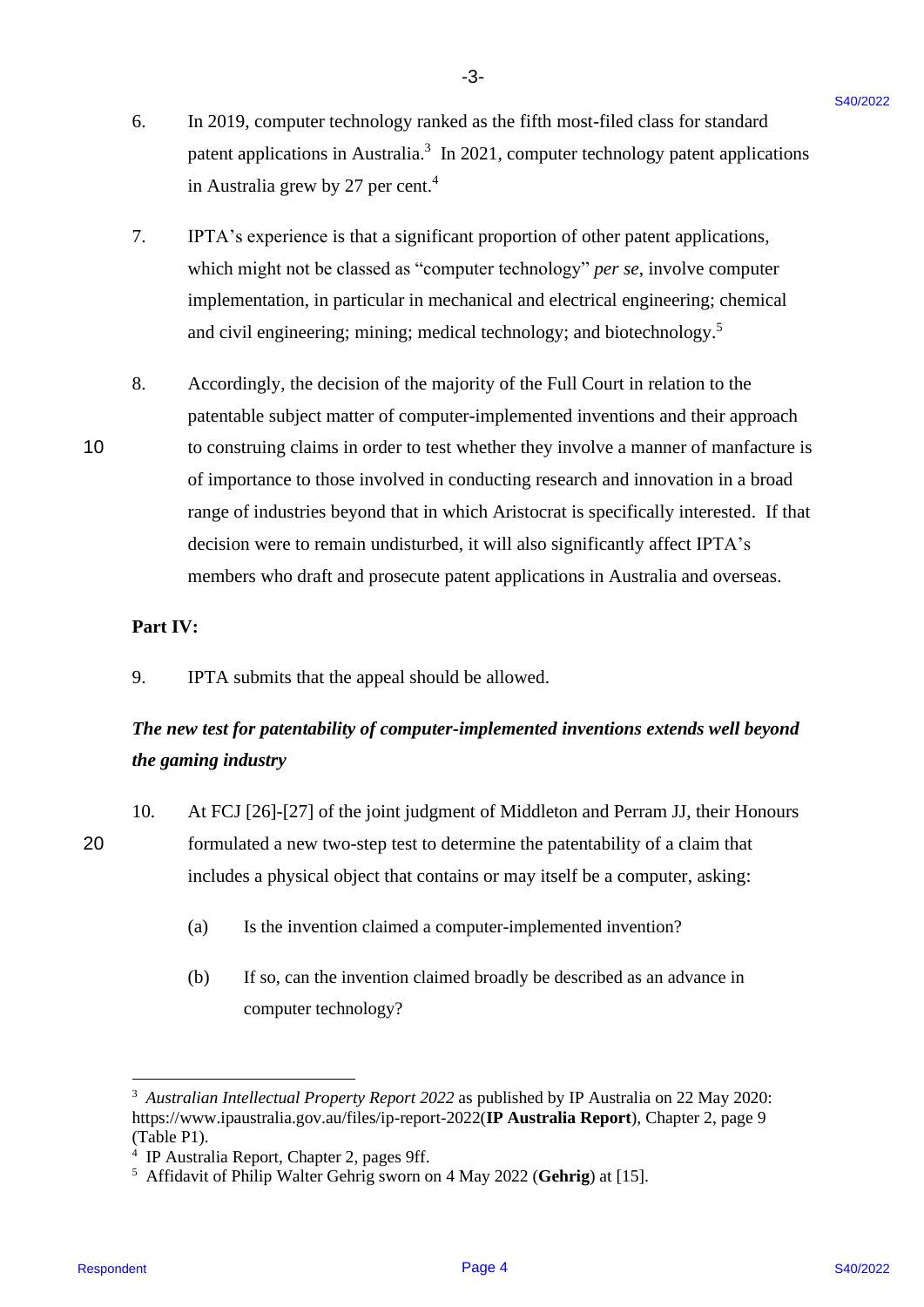6. In 2019, computer technology ranked as the fifth most-filed class for standard 6. In 2019, computer technology ranked as the fifth most-filed class for standard patent applications in Australia.<sup>3</sup> In 2021, computer technology patent applications in Australia grew by 27 per cent. 4 in Australia grew by 27 per cent.4

-3- -3-

- 7. IPTA's experience is that a significant proportion of other patent applications, 7. IPTA's experience is that a significant proportion of other patent applications, which might not be classed as "computer technology" *per se*, involve computer which might not be classed as "computer technology" per se, involve computer implementation, in particular in mechanical and electrical engineering; chemical implementation, in particular in mechanical and electrical engineering; chemical and civil engineering; mining; medical technology; and biotechnology.<sup>5</sup>
- 8. Accordingly, the decision of the majority of the Full Court in relation to the 8. Accordingly, the decision of the majority of the Full Court in relation to the patentable subject matter of computer-implemented inventions and their approach patentable subject matter of computer-implemented inventions and their approach 10 to construing claims in order to test whether they involve a manner of manfacture is of importance to those involved in conducting research and innovation in a broad of importance to those involved in conducting research and innovation in <sup>a</sup> broad range of industries beyond that in which Aristocrat is specifically interested. If that decision were to remain undisturbed, it will also significantly affect IPTA's decision were to remain undisturbed, it will also significantly affect IPTA's members who draft and prosecute patent applications in Australia and overseas. members who draft and prosecute patent applications in Australia and overseas. 6. In 2019, computer technology ranked as the fifth most-filed class for standard<br>parent upplications in Australia 2 (means in 2) in 2021, correporter technology potent applications<br>in Australia 2029 by 27 per cont.<sup>1</sup><br>in

### **Part IV:** Part IV:

9. IPTA submits that the appeal should be allowed. 9. IPTA submits that the appeal should be allowed.

# The new test for patentability of computer-implemented inventions extends well beyond *the gaming industry* the gaming industry

- 10. At FCJ [26]-[27] of the joint judgment of Middleton and Perram JJ, their Honours 10. At FCJ [26]-[27] of the joint judgment of Middleton and Perram JJ, their Honours 20 formulated a new two-step test to determine the patentability of a claim that 20 formulated <sup>a</sup> new two-step test to determine the patentability of a claim that includes a physical object that contains or may itself be a computer, asking: includes <sup>a</sup> physical object that contains or may itself be <sup>a</sup> computer, asking:
	- (a) Is the invention claimed a computer-implemented invention? (a) Is the invention claimed <sup>a</sup> computer-implemented invention?
	- (b) If so, can the invention claimed broadly be described as an advance in (b) If so, can the invention claimed broadly be described as an advance in computer technology? computer technology?

<sup>&</sup>lt;sup>3</sup> Australian Intellectual Property Report 2022 as published by IP Australia on 22 May 2020: https://www.ipaustralia.gov.au/files/ip-report-2022(**IP Australia Report**), Chapter 2, page 9 https://www.ipaustralia.gov.au/files/ip-report-2022(IP Australia Report), Chapter 2, page 9 (Table P1). (Table P1).

<sup>4</sup> IP Australia Report, Chapter 2, pages 9ff. \* IP Australia Report, Chapter 2, pages Off.

<sup>5</sup> Affidavit of Philip Walter Gehrig sworn on 4 May 2022 (**Gehrig**) at [15]. > Affidavit of Philip Walter Gehrig sworn on 4 May 2022 (Gehrig) at [15].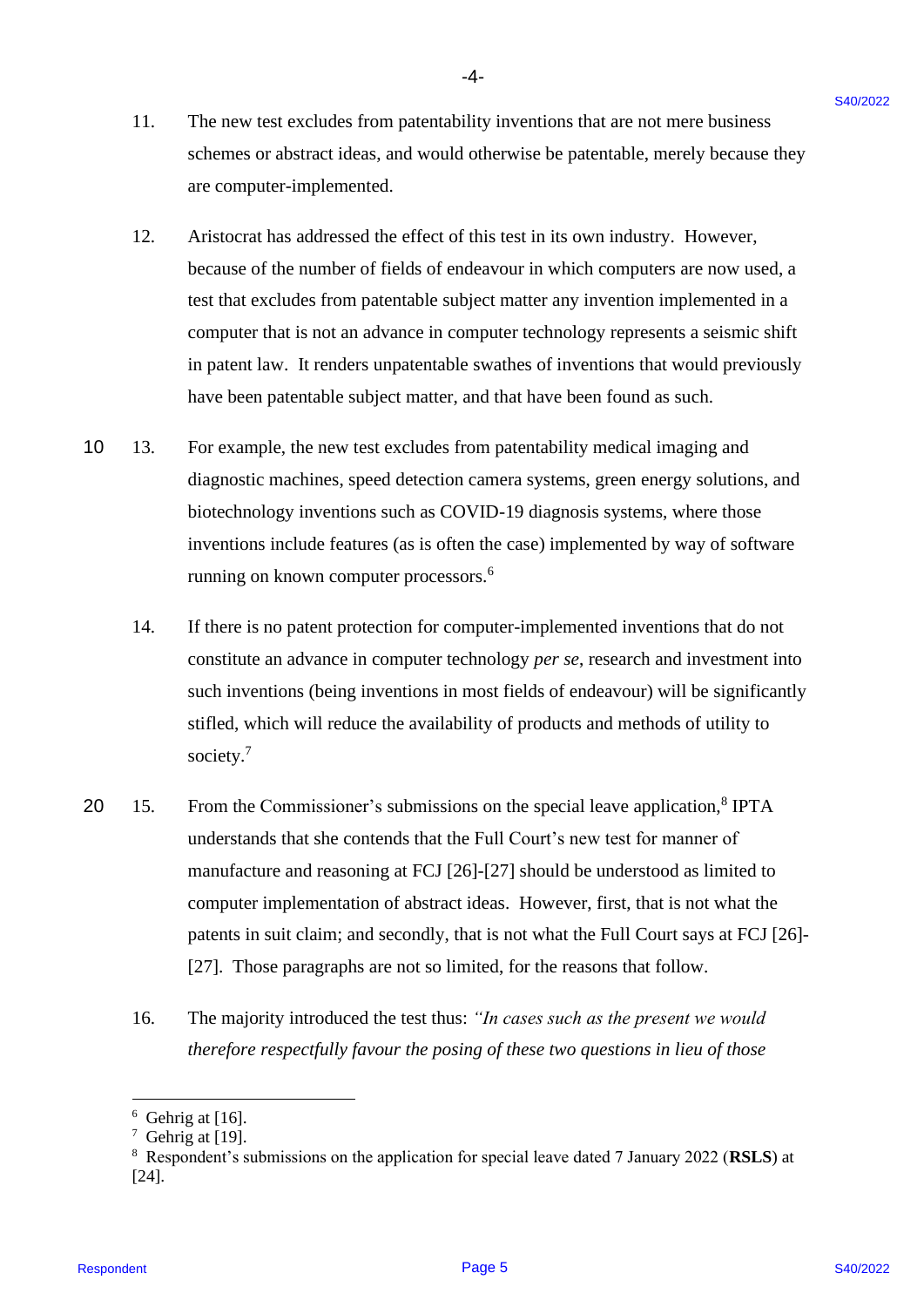- -4- -4-
- 11. The new test excludes from patentability inventions that are not mere business 11. The new test excludes from patentability inventions that are not mere business schemes or abstract ideas, and would otherwise be patentable, merely because they schemes or abstract ideas, and would otherwise be patentable, merely because they are computer-implemented. are computer-implemented.
- 12. Aristocrat has addressed the effect of this test in its own industry. However, 12. Aristocrat has addressed the effect of this test in its own industry. However, because of the number of fields of endeavour in which computers are now used, a because of the number of fields of endeavour in which computers are now used, <sup>a</sup> test that excludes from patentable subject matter any invention implemented in a test that excludes from patentable subject matter any invention implemented in a computer that is not an advance in computer technology represents a seismic shift computer that is not an advance in computer technology represents <sup>a</sup> seismic shift in patent law. It renders unpatentable swathes of inventions that would previously in patent law. It renders unpatentable swathes of inventions that would previously have been patentable subject matter, and that have been found as such. have been patentable subject matter, and that have been found as such.
- 10 13. For example, the new test excludes from patentability medical imaging and 10 13. For example, the new test excludes from patentability medical imaging and diagnostic machines, speed detection camera systems, green energy solutions, and diagnostic machines, speed detection camera systems, green energy solutions, and biotechnology inventions such as COVID-19 diagnosis systems, where those biotechnology inventions such as COVID-19 diagnosis systems, where those inventions include features (as is often the case) implemented by way of software inventions include features (as is often the case) implemented by way of software running on known computer processors.<sup>6</sup>
	- 14. If there is no patent protection for computer-implemented inventions that do not 14. If there is no patent protection for computer-implemented inventions that do not constitute an advance in computer technology *per se*, research and investment into constitute an advance in computer technology per se, research and investment into such inventions (being inventions in most fields of endeavour) will be significantly such inventions (being inventions in most fields of endeavour) will be significantly stifled, which will reduce the availability of products and methods of utility to stifled, which will reduce the availability of products and methods of utility to society. 7 society.'
- 20 15. From the Commissioner's submissions on the special leave application,<sup>8</sup> IPTA understands that she contends that the Full Court's new test for manner of understands that she contends that the Full Court's new test for manner of manufacture and reasoning at FCJ [26]-[27] should be understood as limited to manufacture and reasoning at FCJ [26]-[27] should be understood as limited to computer implementation of abstract ideas. However, first, that is not what the computer implementation of abstract ideas. However, first, that is not what the patents in suit claim; and secondly, that is not what the Full Court says at FCJ [26]- patents in suit claim; and secondly, that is not what the Full Court says at FCJ [26]- [27]. Those paragraphs are not so limited, for the reasons that follow. [27]. Those paragraphs are not so limited, for the reasons that follow. 11. The new lest excluded from patentalitity inventions that at not nest business<br>strengtheres or a share three, that would observe the polentiality, However,<br>and some factors are computed interpolations. The set is not i
	- 16. The majority introduced the test thus: "In cases such as the present we would therefore respectfully favour the posing of these two questions in lieu of those

 $6$  Gehrig at [16].

 $7$  Gehrig at [19].

<sup>8</sup> Respondent's submissions on the application for special leave dated 7 January 2022 (**RSLS**) at 8 Respondent's submissions on the application for special leave dated 7 January 2022 (RSLS) at [24]. [24].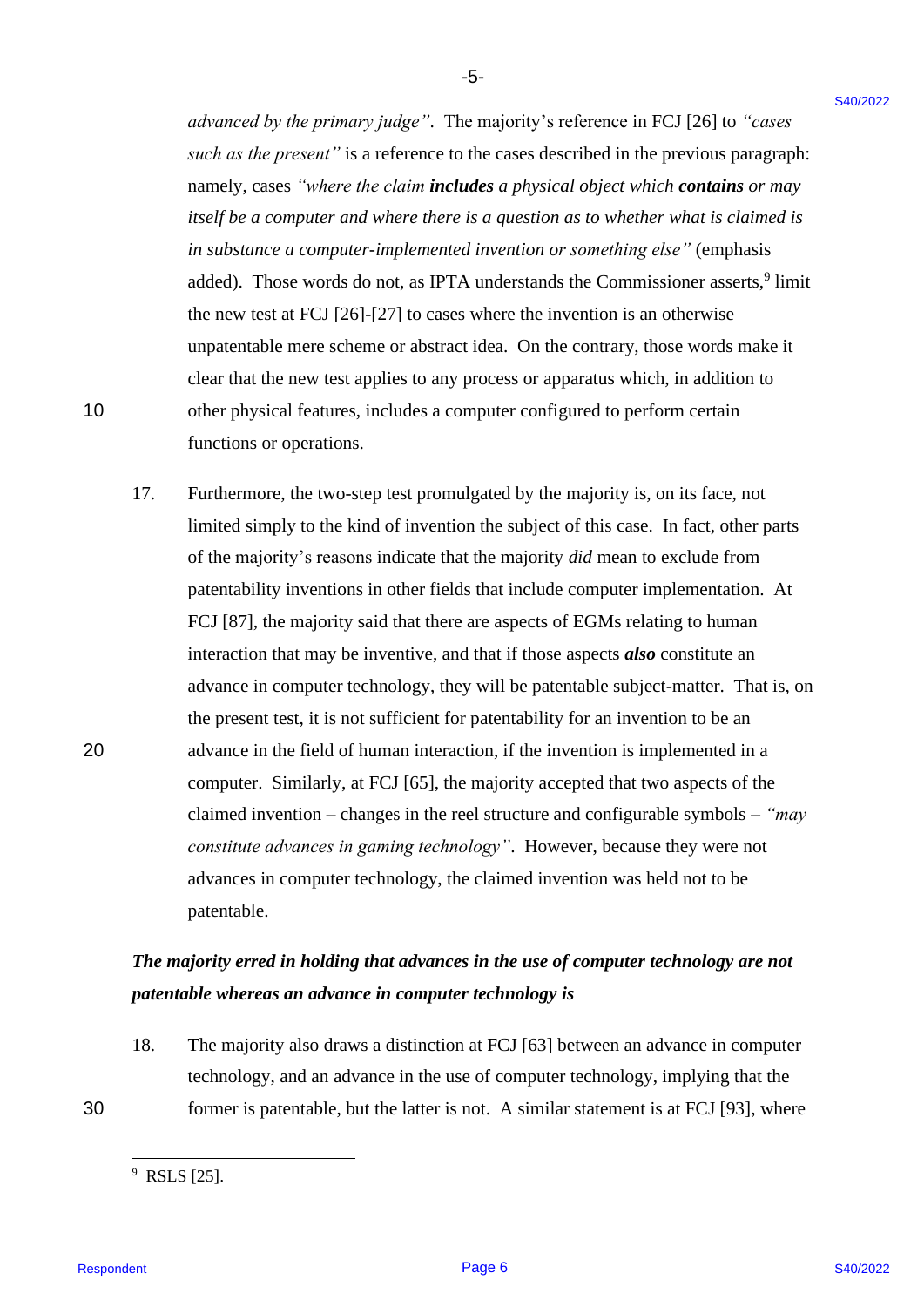*advanced by the primary judge"*. The majority's reference in FCJ [26] to *"cases*  advanced by the primary judge". The majority's reference in FCJ [26] to "cases such as the present" is a reference to the cases described in the previous paragraph: namely, cases *"where the claim includes a physical object which contains or may*  namely, cases "where the claim includesa physical object which contains or may itself be a computer and where there is a question as to whether what is claimed is *in substance a computer-implemented invention or something else"* (emphasis in substance a computer-implemented invention or something else" (emphasis added). Those words do not, as IPTA understands the Commissioner asserts,<sup>9</sup> limit the new test at FCJ [26]-[27] to cases where the invention is an otherwise the new test at FCJ [26]-[27] to cases where the invention is an otherwise unpatentable mere scheme or abstract idea. On the contrary, those words make it unpatentable mere scheme or abstract idea. On the contrary, those words make it clear that the new test applies to any process or apparatus which, in addition to clear that the new test applies to any process or apparatus which, in addition to 10 other physical features, includes a computer configured to perform certain 10 other physical features, includes <sup>a</sup> computer configured to perform certain functions or operations. functions or operations.

-5- -5-

17. Furthermore, the two-step test promulgated by the majority is, on its face, not 17. Furthermore, the two-step test promulgated by the majority is, on its face, not limited simply to the kind of invention the subject of this case. In fact, other parts limited simply to the kind of invention the subject of this case. In fact, other parts of the majority's reasons indicate that the majority *did* mean to exclude from patentability inventions in other fields that include computer implementation. At patentability inventions in other fields that include computer implementation. At FCJ [87], the majority said that there are aspects of EGMs relating to human FCJ [87], the majority said that there are aspects of EGMs relating to human interaction that may be inventive, and that if those aspects *also* constitute an interaction that may be inventive, and that ifthose aspects also constitute an advance in computer technology, they will be patentable subject-matter. That is, on advance in computer technology, they will be patentable subject-matter. That is, on the present test, it is not sufficient for patentability for an invention to be an the present test, it is not sufficient for patentability for an invention to be an 20 advance in the field of human interaction, if the invention is implemented in a <sup>20</sup> advance in the field of human interaction, ifthe invention is implemented in <sup>a</sup> computer. Similarly, at FCJ [65], the majority accepted that two aspects of the computer. Similarly, at FCJ [65], the majority accepted that two aspects of the claimed invention – changes in the reel structure and configurable symbols – *"may*  claimed invention — changes in the reel structure and configurable symbols — "may constitute advances in gaming technology". However, because they were not advances in computer technology, the claimed invention was held not to be advances in computer technology, the claimed invention was held not to be patentable. patentable. advanced by the primary judge". The majority's reference in FCJ (26) to "cannot and the observed in a matter of the terms in the terms of the there is the reference in the previous parameteristic particles parameters. The

# *The majority erred in holding that advances in the use of computer technology are not*  The majority erred in holding that advances in the use of computer technology are not *patentable whereas an advance in computer technology is* patentable whereas an advance in computer technology is

18. The majority also draws a distinction at FCJ [63] between an advance in computer technology, and an advance in the use of computer technology, implying that the technology, and an advance in the use of computer technology, implying that the 30 former is patentable, but the latter is not. A similar statement is at FCJ [93], where

 $9$  RSLS [25].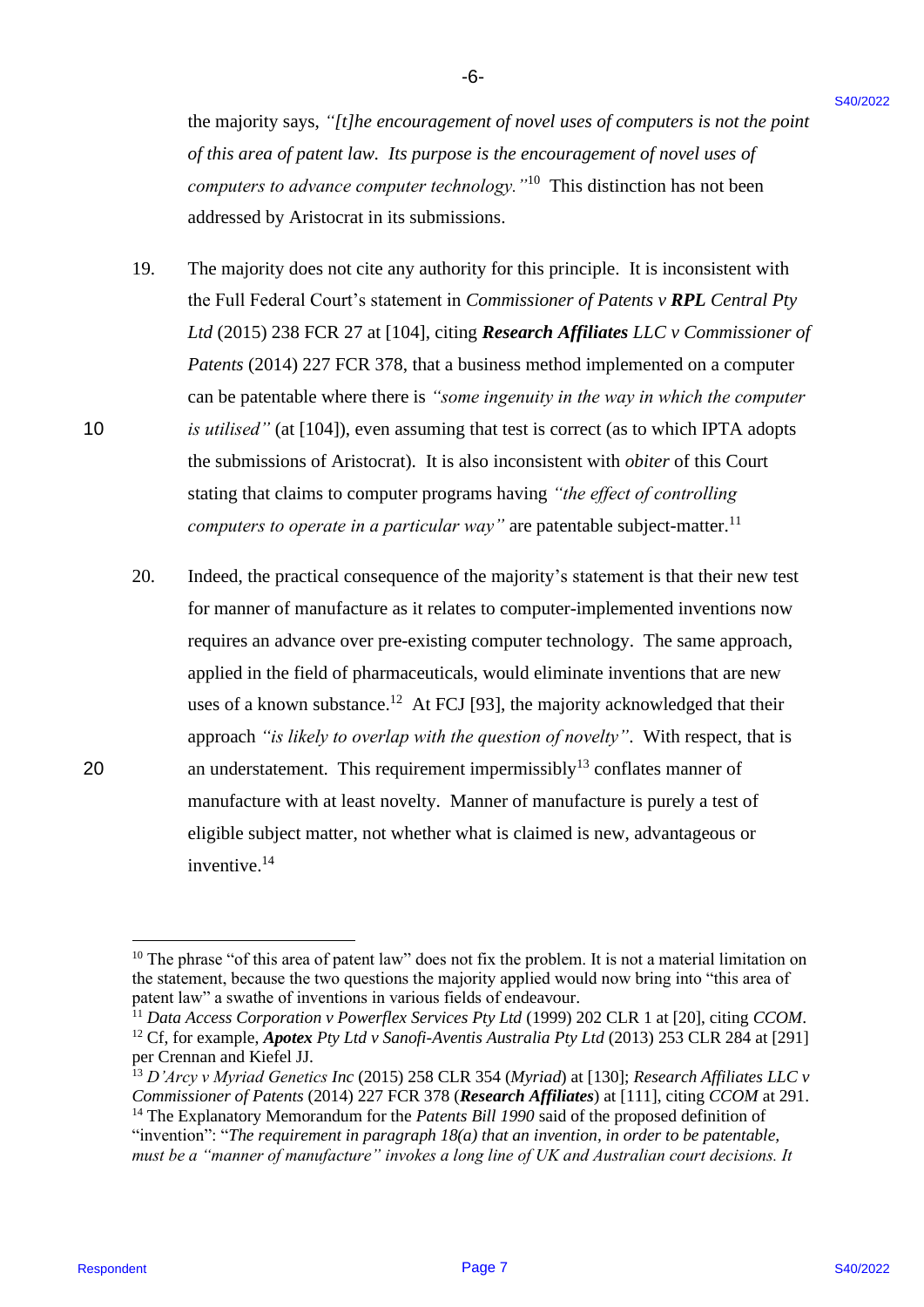the majority says, *"[t]he encouragement of novel uses of computers is not the point*  the majority says, "/t/he encouragement of novel uses ofcomputers is not the point of this area of patent law. Its purpose is the encouragement of novel uses of *computers to advance computer technology.* "<sup>10</sup> This distinction has not been addressed by Aristocrat in its submissions. addressed by Aristocrat in its submissions.

-6- -6-

- 19. The majority does not cite any authority for this principle. It is inconsistent with 19. The majority does not cite any authority for this principle. It is inconsistent with the Full Federal Court's statement in *Commissioner of Patents v RPL Central Pty Ltd* (2015) 238 FCR 27 at [104], citing *Research Affiliates LLC v Commissioner of*  Ltd (2015) 238 FCR 27 at [104], citing Research Affiliates LLC v Commissioner of *Patents* (2014) 227 FCR 378, that a business method implemented on a computer Patents (2014) 227 FCR 378, that <sup>a</sup> business method implemented on <sup>a</sup> computercan be patentable where there is *"some ingenuity in the way in which the computer*  can be patentable where there is "some ingenuity in the way in which the computer 10 *is utilised*" (at [104]), even assuming that test is correct (as to which IPTA adopts the submissions of Aristocrat). It is also inconsistent with *obiter* of this Court the submissions of Aristocrat). It is also inconsistent with obiter of this Court stating that claims to computer programs having *"the effect of controlling*  stating that claims to computer programs having "the effect of controlling *computers to operate in a particular way*" are patentable subject-matter.<sup>11</sup>
- 20. Indeed, the practical consequence of the majority's statement is that their new test 20. Indeed, the practical consequence of the majority's statement is that their new test for manner of manufacture as it relates to computer-implemented inventions now for manner of manufacture as it relates to computer-implemented inventions now requires an advance over pre-existing computer technology. The same approach, applied in the field of pharmaceuticals, would eliminate inventions that are new applied in the field of pharmaceuticals, would eliminate inventions that are new uses of a known substance.<sup>12</sup> At FCJ [93], the majority acknowledged that their approach "is likely to overlap with the question of novelty". With respect, that is 20 an understatement. This requirement impermissibly<sup>13</sup> conflates manner of manufacture with at least novelty. Manner of manufacture is purely a test of manufacture with at least novelty. Manner of manufacture is purely <sup>a</sup> test of eligible subject matter, not whether what is claimed is new, advantageous or eligible subject matter, not whether what is claimed is new, advantageous or inventive.<sup>14</sup> the analysisy sags, "This encouragement of our de ans of computers a not die point<br>of other correspondent the angle of the methodology.<sup>1740</sup> This distinction has not determined the point of the analysis of our determined

<sup>11</sup> Data Access Corporation v Powerflex Services Pty Ltd (1999) 202 CLR 1 at [20], citing *CCOM*. <sup>12</sup> Cf, for example, *Apotex Pty Ltd v Sanofi-Aventis Australia Pty Ltd* (2013) 253 CLR 284 at [291] per Crennan and Kiefel JJ. per Crennan and Kiefel JJ.

<sup>&</sup>lt;sup>10</sup> The phrase "of this area of patent law" does not fix the problem. It is not a material limitation on the statement, because the two questions the majority applied would now bring into "this area of patent law" a swathe of inventions in various fields of endeavour. patent law" a swathe of inventions in various fields of endeavour.

<sup>13</sup> *D'Arcy v Myriad Genetics Inc* (2015) 258 CLR 354 (*Myriad*) at [130]; *Research Affiliates LLC v*  3. D'Arcy v Myriad Genetics Inc (2015) 258 CLR 354 (Myriad) at [130]; Research Affiliates LLC v Commissioner of Patents (2014) 227 FCR 378 (Research Affiliates) at [111], citing *CCOM* at 291.

<sup>&</sup>lt;sup>14</sup> The Explanatory Memorandum for the *Patents Bill 1990* said of the proposed definition of "invention": "*The requirement in paragraph 18(a) that an invention, in order to be patentable,*  "invention": "The requirement in paragraph 18(a) that an invention, in order to be patentable, *must be a "manner of manufacture" invokes a long line of UK and Australian court decisions. It*  must be a "manner of manufacture" invokes a long line of UK and Australian court decisions. It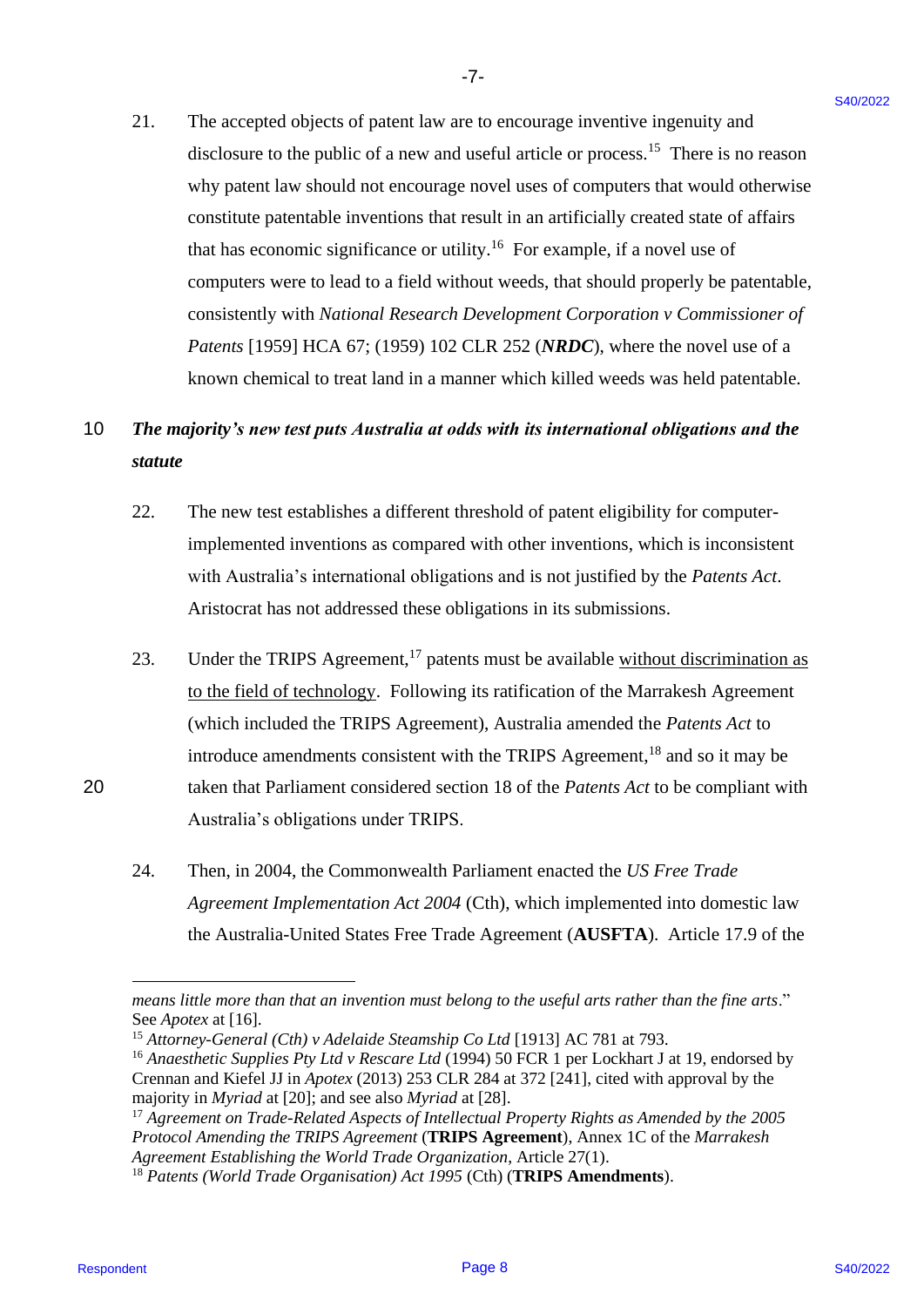21. The accepted objects of patent law are to encourage inventive ingenuity and 21. The accepted objects of patent law are to encourage inventive ingenuity and disclosure to the public of a new and useful article or process.<sup>15</sup> There is no reason why patent law should not encourage novel uses of computers that would otherwise why patent law should not encourage novel uses of computers that would otherwise constitute patentable inventions that result in an artificially created state of affairs that has economic significance or utility.<sup>16</sup> For example, if a novel use of computers were to lead to a field without weeds, that should properly be patentable, computers were to lead to a field without weeds, that should properly be patentable, consistently with *National Research Development Corporation v Commissioner of*  consistently with National Research Development Corporation v Commissioner of *Patents* [1959] HCA 67; (1959) 102 CLR 252 (*NRDC*), where the novel use of a known chemical to treat land in a manner which killed weeds was held patentable. known chemical to treat land in a manner which killed weeds was held patentable. 21. The accepted objects of paneat law are to accounge inventive ingensity and<br>
indeterment the public of threes one distribution of process.<sup>2</sup> There is an ensure that we<br>star dependent in the public distribution of the

-7- -7-

# 10 *The majority's new test puts Australia at odds with its international obligations and the*  10 The majority's new test puts Australia at odds with its international obligations and the *statute* Statute

- 22. The new test establishes a different threshold of patent eligibility for computer-22. The new test establishes a different threshold of patent eligibility for computerimplemented inventions as compared with other inventions, which is inconsistent implemented inventions as compared with other inventions, which is inconsistent with Australia's international obligations and is not justified by the *Patents Act*. with Australia's international obligations and is not justified by the Patents Act. Aristocrat has not addressed these obligations in its submissions. Aristocrat has not addressed these obligations in its submissions.
- 23. Under the TRIPS Agreement,<sup>17</sup> patents must be available without discrimination as to the field of technology. Following its ratification of the Marrakesh Agreement (which included the TRIPS Agreement), Australia amended the *Patents Act* to (which included the TRIPS Agreement), Australia amended the Patents Act to introduce amendments consistent with the TRIPS Agreement,<sup>18</sup> and so it may be 20 taken that Parliament considered section 18 of the *Patents Act* to be compliant with 20 taken that Parliament considered section <sup>18</sup> of the Patents Act to be compliant with Australia's obligations under TRIPS. Australia's obligations under TRIPS.
	- 24. Then, in 2004, the Commonwealth Parliament enacted the *[US Free Trade](https://www.legislation.gov.au/Details/C2005C00021)*  24. Then, in 2004, the Commonwealth Parliament enacted the US Free Trade *[Agreement Implementation Act 2004](https://www.legislation.gov.au/Details/C2005C00021)* (Cth), which implemented into domestic law Agreement Implementation Act 2004 (Cth), which implemented into domestic law the Australia-United States Free Trade Agreement (**AUSFTA**). Article 17.9 of the the Australia-United States Free Trade Agreement (AUSFTA). Article 17.9 of the

*means little more than that an invention must belong to the useful arts rather than the fine arts*." means little more than that an invention must belong to the useful arts rather than the fine arts." See *Apotex* at [16]. See Apotex at [16].

<sup>&</sup>lt;sup>15</sup> Attorney-General (Cth) v Adelaide Steamship Co Ltd [1913] AC 781 at 793.

<sup>&</sup>lt;sup>16</sup> Anaesthetic Supplies Pty Ltd v Rescare Ltd (1994) 50 FCR 1 per Lockhart J at 19, endorsed by Crennan and Kiefel JJ in *Apotex* (2013) 253 CLR 284 at 372 [241], cited with approval by the Crennan and Kiefel JJ in Apotex (2013) 253 CLR 284 at 372 [241], cited with approval by the majority in *Myriad* at [20]; and see also *Myriad* at [28]. majority in Myriadat [20]; and see also Myriadat [28].

<sup>&</sup>lt;sup>17</sup> Agreement on Trade-Related Aspects of Intellectual Property Rights as Amended by the 2005 *Protocol Amending the TRIPS Agreement* (**TRIPS Agreement**), Annex 1C of the *Marrakesh*  Protocol Amending the TRIPS Agreement(TRIPS Agreement), Annex 1C of the Marrakesh *Agreement Establishing the World Trade Organization*, Article 27(1). Agreement Establishing the World Trade Organization, Article 27(1).

<sup>18</sup> *Patents (World Trade Organisation) Act 1995* (Cth) (**TRIPS Amendments**). '8 Patents (World Trade Organisation) Act 1995 (Cth) (TRIPS Amendments).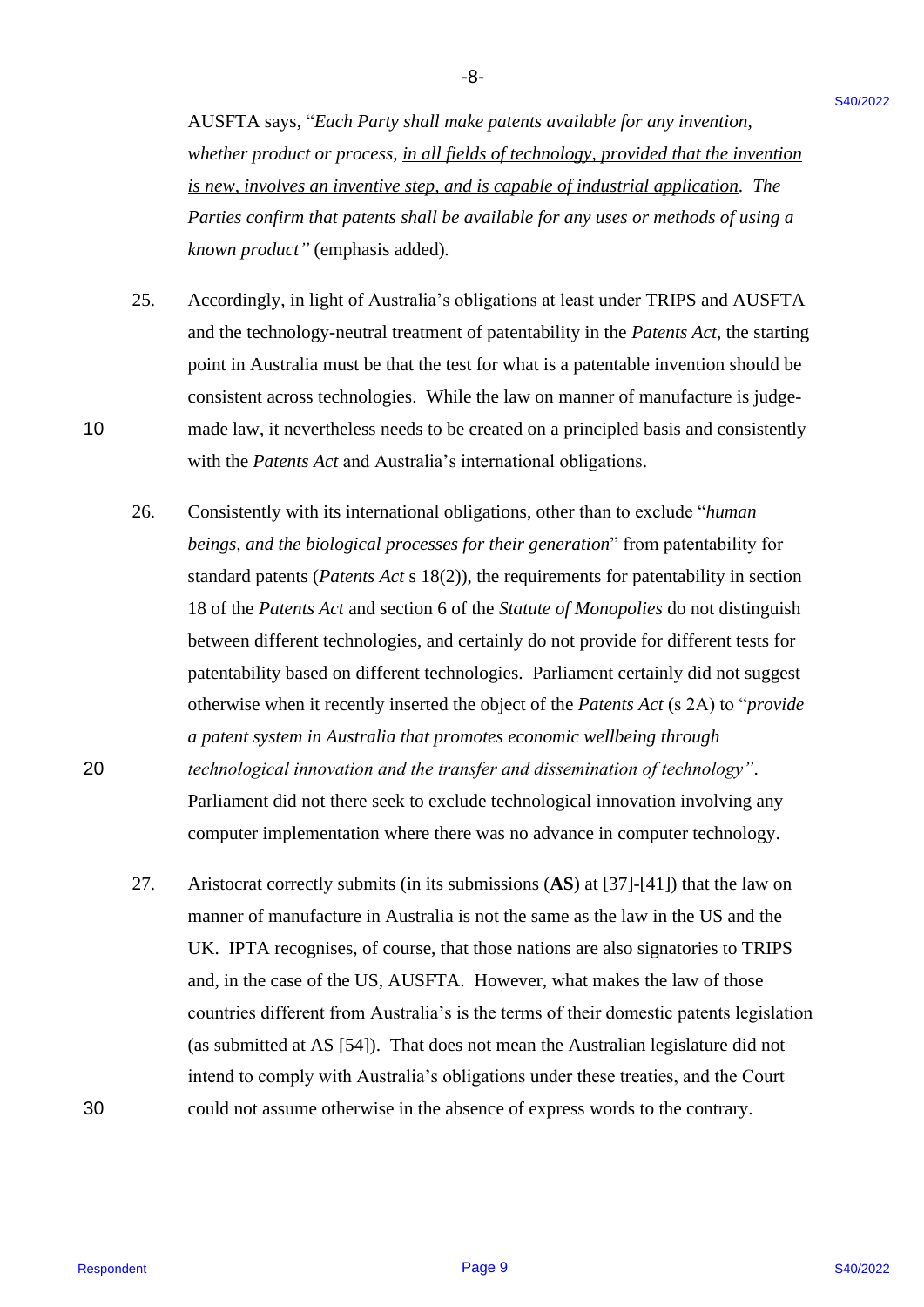-8- -8-

AUSFTA says, "*Each Party shall make patents available for any invention,*  AUSFTA says, "Each Party shall make patents availablefor any invention, whether product or process, in all fields of technology, provided that the invention *is new, involves an inventive step, and is capable of industrial application. The*  is new, involves an inventive step, and is capable of industrial application. The Parties confirm that patents shall be available for any uses or methods of using a *known product"* (emphasis added)*.* known product"(emphasis added).

25. Accordingly, in light of Australia's obligations at least under TRIPS and AUSFTA and the technology-neutral treatment of patentability in the *Patents Act*, the starting and the technology-neutral treatment of patentability in the Patents Act, the starting point in Australia must be that the test for what is a patentable invention should be point in Australia must be that the test for what is a patentable invention should be consistent across technologies. While the law on manner of manufacture is judge-consistent across technologies. While the law on manner of manufacture is judge-10 made law, it nevertheless needs to be created on a principled basis and consistently made law, it nevertheless needs to be created on <sup>a</sup> principled basis and consistently with the *Patents Act* and Australia's international obligations. with the Patents Act and Australia's international obligations. 25.

26. Consistently with its international obligations, other than to exclude "*human*  Consistently with its international obligations, other than to exclude "human *beings, and the biological processes for their generation*" from patentability for beings, and the biological processes for their generation" from patentability for standard patents (*Patents Act s* 18(2)), the requirements for patentability in section 18 of the *Patents Act* and section 6 of the *Statute of Monopolies* do not distinguish between different technologies, and certainly do not provide for different tests for between different technologies, and certainly do not provide for different tests for patentability based on different technologies. Parliament certainly did not suggest patentability based on different technologies. Parliament certainly did not suggest otherwise when it recently inserted the object of the *Patents Act* (s 2A) to "*provide*  otherwise when it recently inserted the object of the Patents Act (s 2A) to "provide *a patent system in Australia that promotes economic wellbeing through*  apatent system in Australia that promotes economic wellbeing through 20 *technological innovation and the transfer and dissemination of technology"*. technological innovation and the transfer and dissemination of technology"'. AAISFTA says, "Each Parry shall moke process annalize for any incremion,<br>where produce a model of the sympator of <u>the field control technology and is an incremion,</u><br>where produce the sympator is expected the continued of 26.

Parliament did not there seek to exclude technological innovation involving any Parliament did not there seek to exclude technological innovation involving any computer implementation where there was no advance in computer technology. computer implementation where there was no advance in computer technology.

27. Aristocrat correctly submits (in its submissions (**AS**) at [37]-[41]) that the law on Aristocrat correctly submits (in its submissions (AS) at [37]-[41]) that the law on manner of manufacture in Australia is not the same as the law in the US and the manner of manufacture in Australia is not the same as the law in the US and the UK. IPTA recognises, of course, that those nations are also signatories to TRIPS UK. IPTA recognises, of course, that those nations are also signatories to TRIPS and, in the case of the US, AUSFTA. However, what makes the law of those countries different from Australia's is the terms of their domestic patents legislation countries different from Australia's is the terms of their domestic patents legislation (as submitted at AS [54]). That does not mean the Australian legislature did not (as submitted at AS [54]). That does not mean the Australian legislature did not intend to comply with Australia's obligations under these treaties, and the Court intend to comply with Australia's obligations under these treaties, and the Court 30 could not assume otherwise in the absence of express words to the contrary. could not assume otherwise in the absence of express words to the contrary. 27.

10

20

30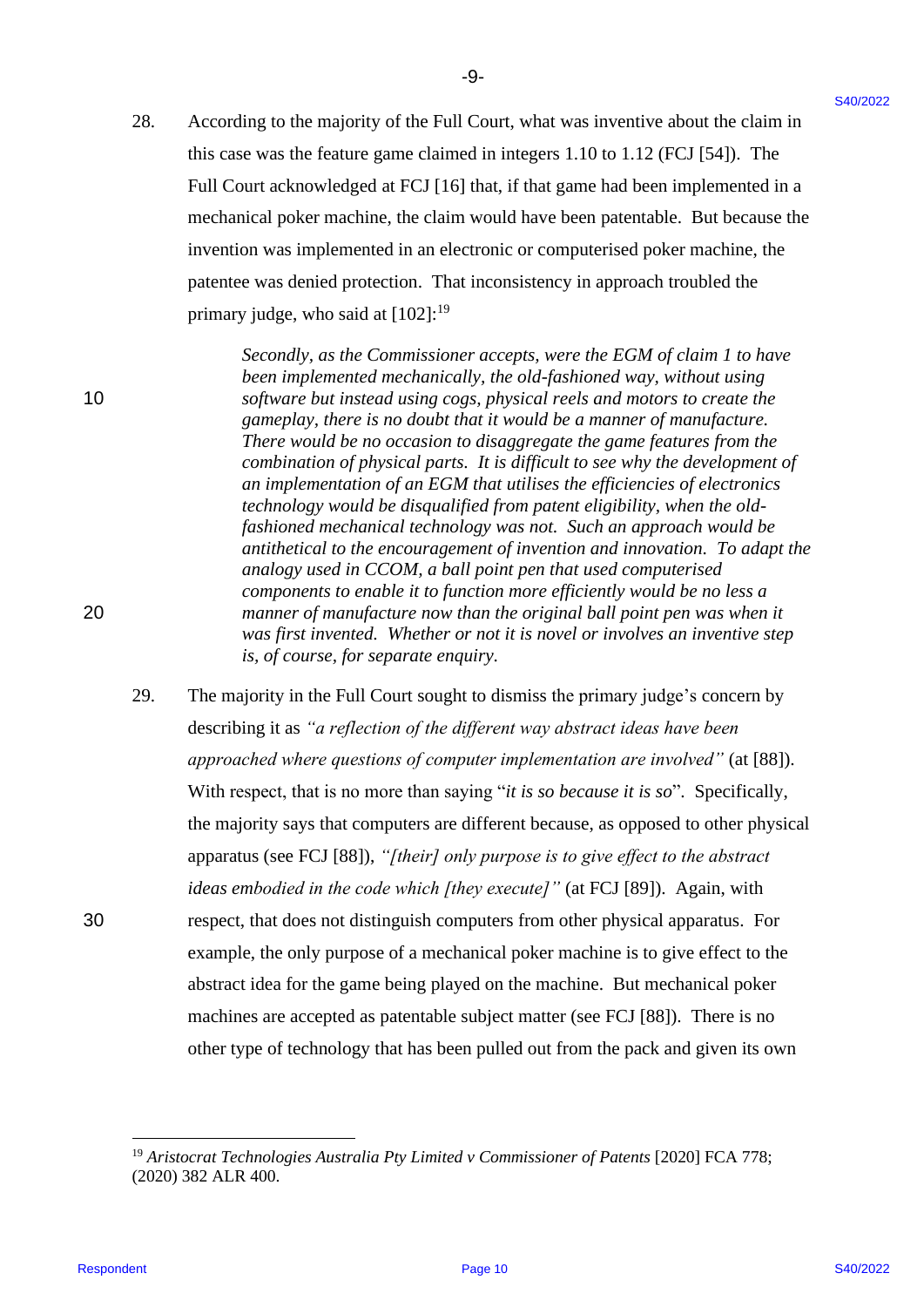28. According to the majority of the Full Court, what was inventive about the claim in this case was the feature game claimed in integers 1.10 to 1.12 (FCJ [54]). The this case was the feature game claimed in integers 1.10 to 1.12 (FCJ [54]). The Full Court acknowledged at FCJ [16] that, if that game had been implemented in a mechanical poker machine, the claim would have been patentable. But because the mechanical poker machine, the claim would have been patentable. But because the invention was implemented in an electronic or computerised poker machine, the invention was implemented in an electronic or computerised poker machine, the patentee was denied protection. That inconsistency in approach troubled the patentee was denied protection. That inconsistency in approach troubled the primary judge, who said at [102]:<sup>19</sup>

Secondly, as the Commissioner accepts, were the EGM of claim 1 to have *been implemented mechanically, the old-fashioned way, without using*  been implemented mechanically, the old-fashioned way, without using 10 *software but instead using cogs, physical reels and motors to create the*  10 software but instead using cogs, physical reels and motors to create the gameplay, there is no doubt that it would be a manner of manufacture. There would be no occasion to disaggregate the game features from the combination of physical parts. It is difficult to see why the development of an implementation of an EGM that utilises the efficiencies of electronics technology would be disqualified from patent eligibility, when the old*fashioned mechanical technology was not. Such an approach would be*  fashioned mechanical technology was not. Such an approach would be *antithetical to the encouragement of invention and innovation. To adapt the*  antithetical to the encouragement of invention and innovation. To adapt the analogy used in CCOM, a ball point pen that used computerised *components to enable it to function more efficiently would be no less a*  components to enable it tofunction more efficiently would be no less a 20 *manner of manufacture now than the original ball point pen was when it*  20 manner of manufacture now than the original ball point pen was when it was first invented. Whether or not it is novel or involves an inventive step is, of course, for separate enquiry.

29. The majority in the Full Court sought to dismiss the primary judge's concern by 29. The majority in the Full Court sought to dismiss the primary judge's concern by describing it as *"a reflection of the different way abstract ideas have been*  describing it as "a reflection of the different way abstract ideas have been approached where questions of computer implementation are involved" (at [88]). With respect, that is no more than saying "*it is so because it is so*". Specifically, With respect, that is no more than saying "it is so because it is so". Specifically, the majority says that computers are different because, as opposed to other physical the majority says that computers are different because, as opposed to other physical apparatus (see FCJ [88]), *"[their] only purpose is to give effect to the abstract*  apparatus (see FCJ [88]), "/their] only purpose is to give effect to the abstract ideas embodied in the code which [they execute]" (at FCJ [89]). Again, with 30 respect, that does not distinguish computers from other physical apparatus. For 30 respect, that does not distinguish computers from other physical apparatus. For example, the only purpose of a mechanical poker machine is to give effect to the abstract idea for the game being played on the machine. But mechanical poker abstract idea for the game being played on the machine. But mechanical poker machines are accepted as patentable subject matter (see FCJ [88]). There is no machines are accepted as patentable subject matter (see FCJ [88]). There is no other type of technology that has been pulled out from the pack and given its own other type of technology that has been pulled out from the pack and given its own 28. According to the majority of the Fail Court, what was investive shown the claim in<br>this case was the former gape claimed in the general base has the case of the fact of the set of the set of the fact of the set of the

<sup>&</sup>lt;sup>19</sup> Aristocrat Technologies Australia Pty Limited v Commissioner of Patents [2020] FCA 778; (2020) 382 ALR 400. (2020) 382 ALR 400.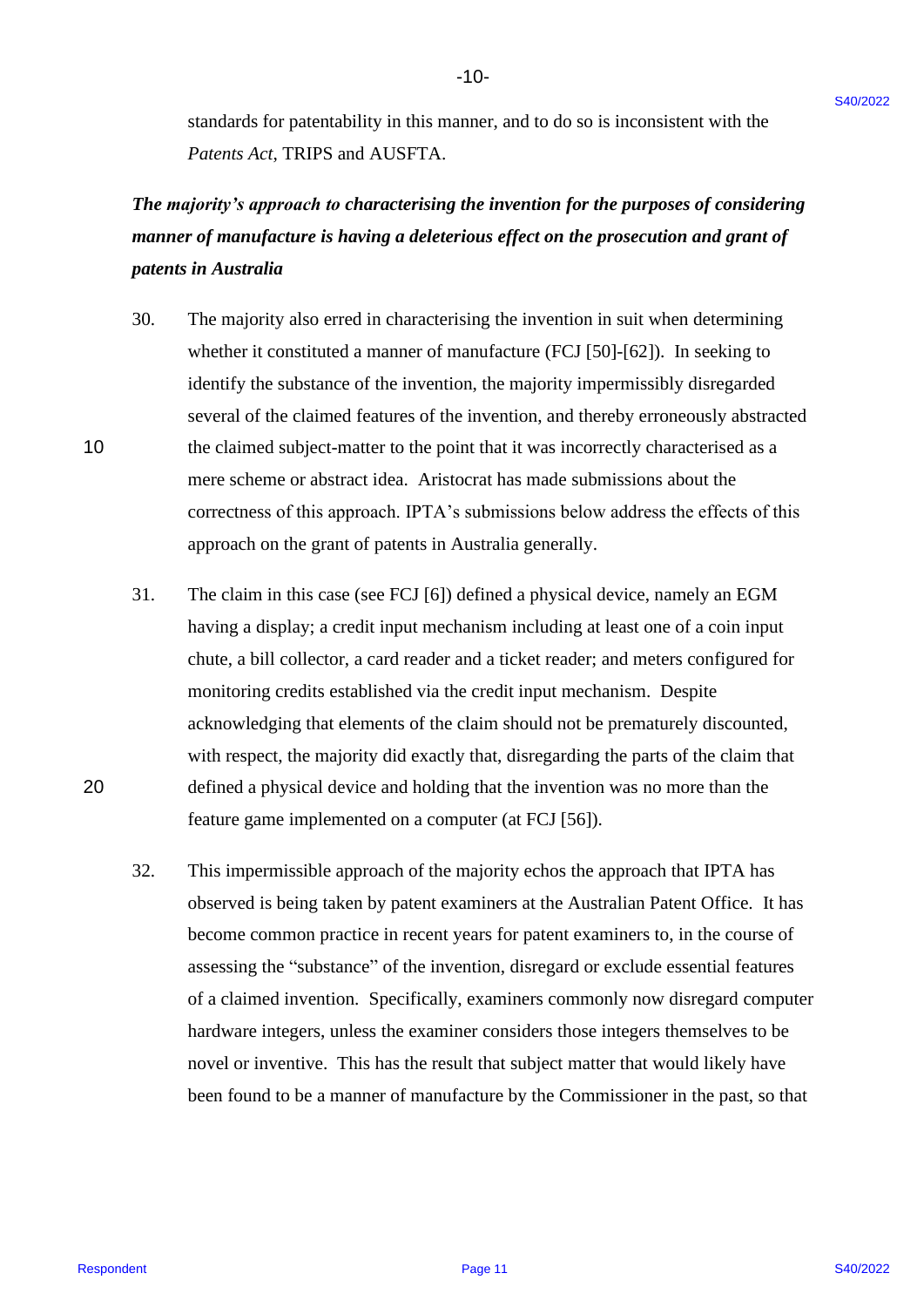-10- -10-

standards for patentability in this manner, and to do so is inconsistent with the standards for patentability in this manner, and to do so is inconsistent with the *Patents Act*, TRIPS and AUSFTA. Patents Act, TRIPS and AUSFTA.

# The majority's approach to characterising the invention for the purposes of considering manner of manufacture is having a deleterious effect on the prosecution and grant of *patents in Australia* patents in Australia

- 30. The majority also erred in characterising the invention in suit when determining 30. | The majority also erred in characterising the invention in suit when determining whether it constituted a manner of manufacture (FCJ [50]-[62]). In seeking to whether it constituted <sup>a</sup> manner of manufacture (FCJ [50]-[62]). In seeking to identify the substance of the invention, the majority impermissibly disregarded identify the substance of the invention, the majority impermissibly disregarded several of the claimed features of the invention, and thereby erroneously abstracted several of the claimed features of the invention, and thereby erroneously abstracted 10 the claimed subject-matter to the point that it was incorrectly characterised as a 10 the claimed subject-matter to the point that it was incorrectly characterised as <sup>a</sup> mere scheme or abstract idea. Aristocrat has made submissions about the mere scheme or abstract idea. Aristocrat has made submissions about the correctness of this approach. IPTA's submissions below address the effects of this correctness of this approach. IPTA's submissions below address the effects of this approach on the grant of patents in Australia generally. approach on the grant of patents in Australia generally. standards for paramalisity in this meaning, and to do so is inconsistent with the<br> *Protover, Act*, TRIPS and AUSICPA,<br> **The magnetic Protover Act**, TRIPS and AUSICPA,<br> **The magnetic of the transition for the protocolline**
- 31. The claim in this case (see FCJ [6]) defined a physical device, namely an EGM 31. The claim in this case (see FCJ [6]) defined a physical device, namely an EGM having a display; a credit input mechanism including at least one of a coin input having <sup>a</sup> display; <sup>a</sup> credit input mechanism including at least one of <sup>a</sup> coin input chute, a bill collector, a card reader and a ticket reader; and meters configured for chute, a bill collector, a card reader and <sup>a</sup> ticket reader; and meters configured for monitoring credits established via the credit input mechanism. Despite monitoring credits established via the credit input mechanism. Despite acknowledging that elements of the claim should not be prematurely discounted, acknowledging that elements of the claim should not be prematurely discounted, with respect, the majority did exactly that, disregarding the parts of the claim that with respect, the majority did exactly that, disregarding the parts of the claim that 20 defined a physical device and holding that the invention was no more than the 20 defined a physical device and holding that the invention was no more than the feature game implemented on a computer (at FCJ [56]). feature game implemented on <sup>a</sup> computer (at FCJ [56]).
	- 32. This impermissible approach of the majority echos the approach that IPTA has 32. This impermissible approach of the majority echos the approach that IPTA has observed is being taken by patent examiners at the Australian Patent Office. It has observed is being taken by patent examiners at the Australian Patent Office. It has become common practice in recent years for patent examiners to, in the course of become common practice in recent years for patent examiners to, in the course of assessing the "substance" of the invention, disregard or exclude essential features assessing the "substance" of the invention, disregard or exclude essential features of a claimed invention. Specifically, examiners commonly now disregard computer hardware integers, unless the examiner considers those integers themselves to be hardware integers, unless the examiner considers those integers themselves to be novel or inventive. This has the result that subject matter that would likely have novel or inventive. This has the result that subject matter that would likely have been found to be a manner of manufacture by the Commissioner in the past, so that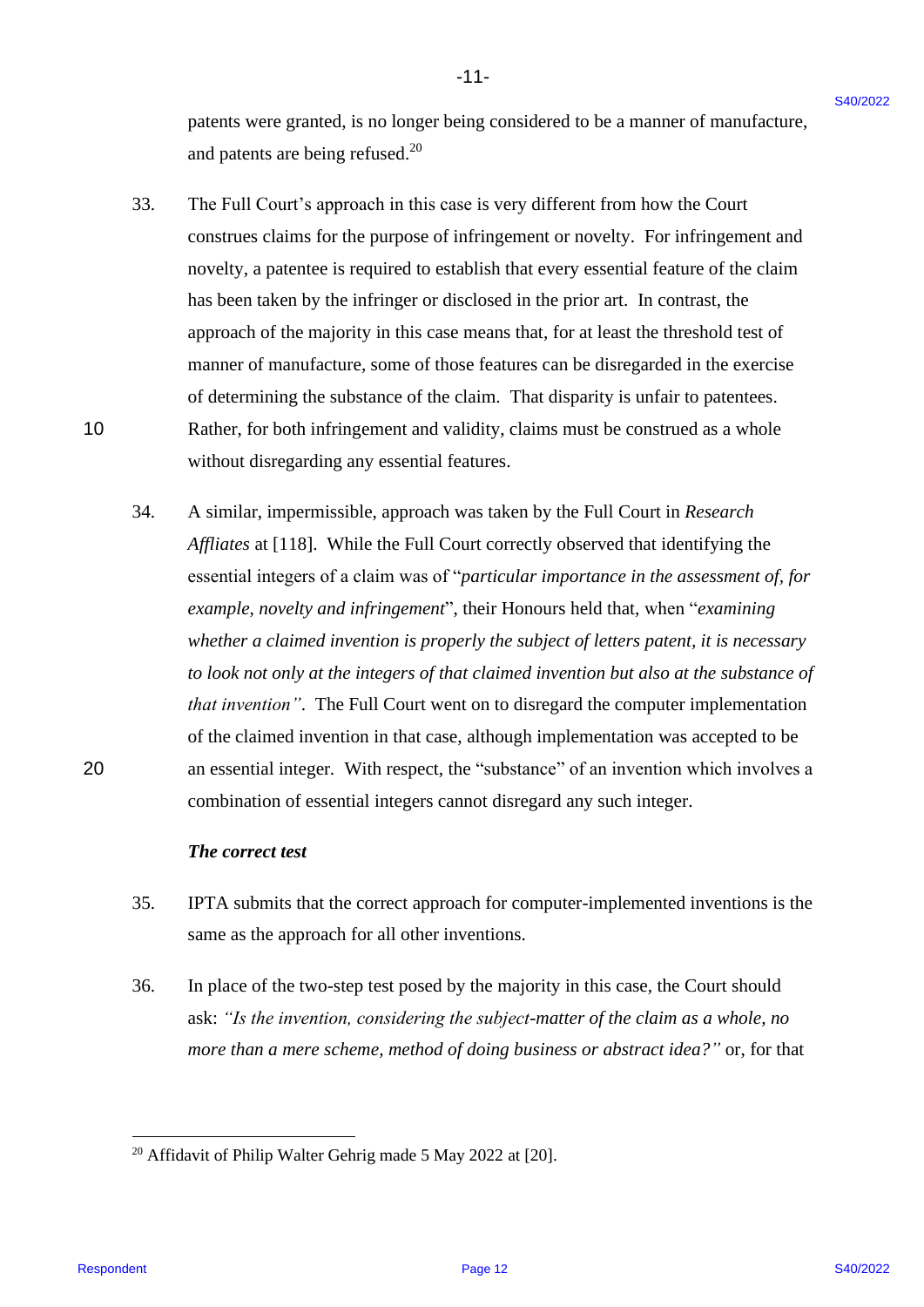patents were granted, is no longer being considered to be a manner of manufacture, patents were granted, is no longer being considered to be a manner of manufacture, and patents are being refused.<sup>20</sup>

-11- -11-

- 33. The Full Court's approach in this case is very different from how the Court 33. The Full Court's approach in this case is very different from how the Court construes claims for the purpose of infringement or novelty. For infringement and construes claims for the purpose of infringement or novelty. For infringement and novelty, a patentee is required to establish that every essential feature of the claim novelty, a patentee is required to establish that every essential feature of the claim has been taken by the infringer or disclosed in the prior art. In contrast, the has been taken by the infringer or disclosed in the prior art. In contrast, the approach of the majority in this case means that, for at least the threshold test of approach of the majority in this case means that, for at least the threshold test of manner of manufacture, some of those features can be disregarded in the exercise manner of manufacture, some of those features can be disregarded in the exercise of determining the substance of the claim. That disparity is unfair to patentees. of determining the substance of the claim. That disparity is unfair to patentees. 10 Rather, for both infringement and validity, claims must be construed as a whole 10 Rather, for both infringement and validity, claims must be construed as <sup>a</sup> whole without disregarding any essential features. without disregarding any essential features.
- 34. A similar, impermissible, approach was taken by the Full Court in *Research*  34. A similar, impermissible, approach was taken by the Full Court in Research *Affliates* at [118]. While the Full Court correctly observed that identifying the Affliates at [118]. While the Full Court correctly observed that identifying the essential integers of a claim was of "particular importance in the assessment of, for example, novelty and infringement", their Honours held that, when "examining *whether a claimed invention is properly the subject of letters patent, it is necessary*  whether a claimed invention is properly the subject of letters patent, it is necessary to look not only at the integers of that claimed invention but also at the substance of *that invention"*. The Full Court went on to disregard the computer implementation that invention". The Full Court went on to disregard the computer implementation of the claimed invention in that case, although implementation was accepted to be 20 an essential integer. With respect, the "substance" of an invention which involves a combination of essential integers cannot disregard any such integer. combination of essential integers cannot disregard any such integer. plateaus were granted, is no longer being considered to be a numere of manufacture,<br>
and purers one being relixed.<sup>13</sup><br>
The Thi Courch's mytranet. The case is very different from two the Court<br>
23.3. The Thi Courch's appr

#### *The correct test* The correct test

- 35. IPTA submits that the correct approach for computer-implemented inventions is the 35. IPTA submits that the correct approach for computer-implemented inventions is the same as the approach for all other inventions. same as the approach for all other inventions.
- 36. In place of the two-step test posed by the majority in this case, the Court should 36. In place of the two-step test posed by the majority in this case, the Court should ask: "Is the invention, considering the subject-matter of the claim as a whole, no more than a mere scheme, method of doing business or abstract idea?" or, for that

 $20$  Affidavit of Philip Walter Gehrig made 5 May 2022 at [20].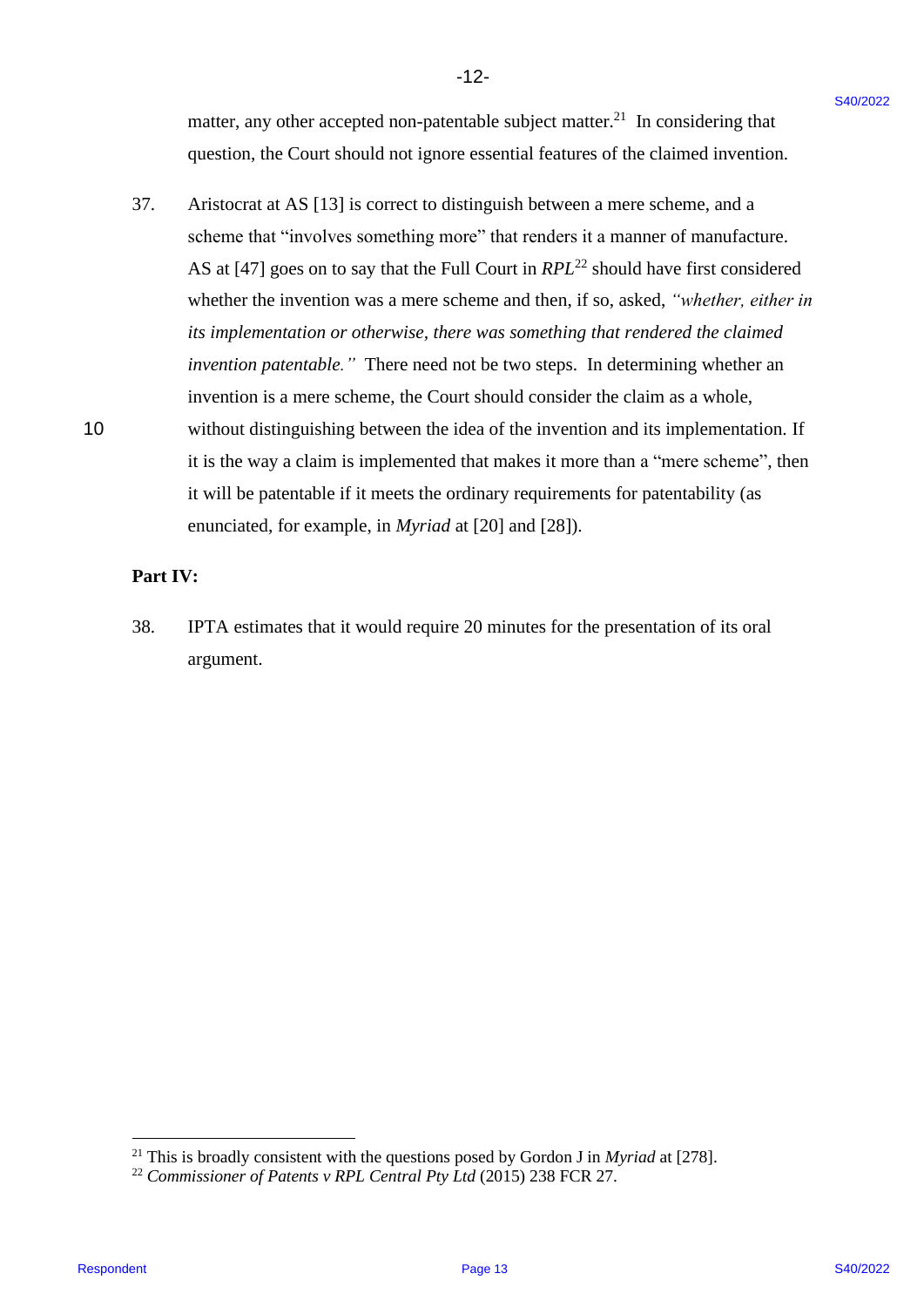matter, any other accepted non-patentable subject matter.<sup>21</sup> In considering that question, the Court should not ignore essential features of the claimed invention. question, the Court should not ignore essential features of the claimed invention.

-12- -12-

37. Aristocrat at AS [13] is correct to distinguish between a mere scheme, and a Aristocrat at AS [13] is correct to distinguish between <sup>a</sup> mere scheme, and <sup>a</sup> scheme that "involves something more" that renders it a manner of manufacture. scheme that "involves something more" that renders it <sup>a</sup> manner of manufacture. AS at [47] goes on to say that the Full Court in *RPL*<sup>22</sup> should have first considered whether the invention was a mere scheme and then, if so, asked, "whether, either in its implementation or otherwise, there was something that rendered the claimed *invention patentable."* There need not be two steps. In determining whether an invention patentable." There need not be two steps. In determining whether an invention is a mere scheme, the Court should consider the claim as a whole, invention is a mere scheme, the Court should consider the claim as a whole, 10 without distinguishing between the idea of the invention and its implementation. If without distinguishing between the idea of the invention and its implementation. If it is the way a claim is implemented that makes it more than a "mere scheme", then it is the way <sup>a</sup> claim is implemented that makes it more than <sup>a</sup> "mere scheme", then it will be patentable if it meets the ordinary requirements for patentability (as enunciated, for example, in *Myriad* at [20] and [28]). matter, any other accepted non-parentable subject matter.<sup>34</sup> In considering that<br>question, the Caurt should not sponse essential leavers of the claimed investme.<br>
37. Ashborsta at AS [13] is corrected to distinguish thes 37.

### **Part IV:** Part IV:

38. IPTA estimates that it would require 20 minutes for the presentation of its oral 38. IPTA estimates that it would require 20 minutes for the presentation of its oral argument. argument.

<sup>&</sup>lt;sup>21</sup> This is broadly consistent with the questions posed by Gordon J in *Myriad* at [278].

<sup>&</sup>lt;sup>22</sup> Commissioner of Patents v RPL Central Pty Ltd (2015) 238 FCR 27.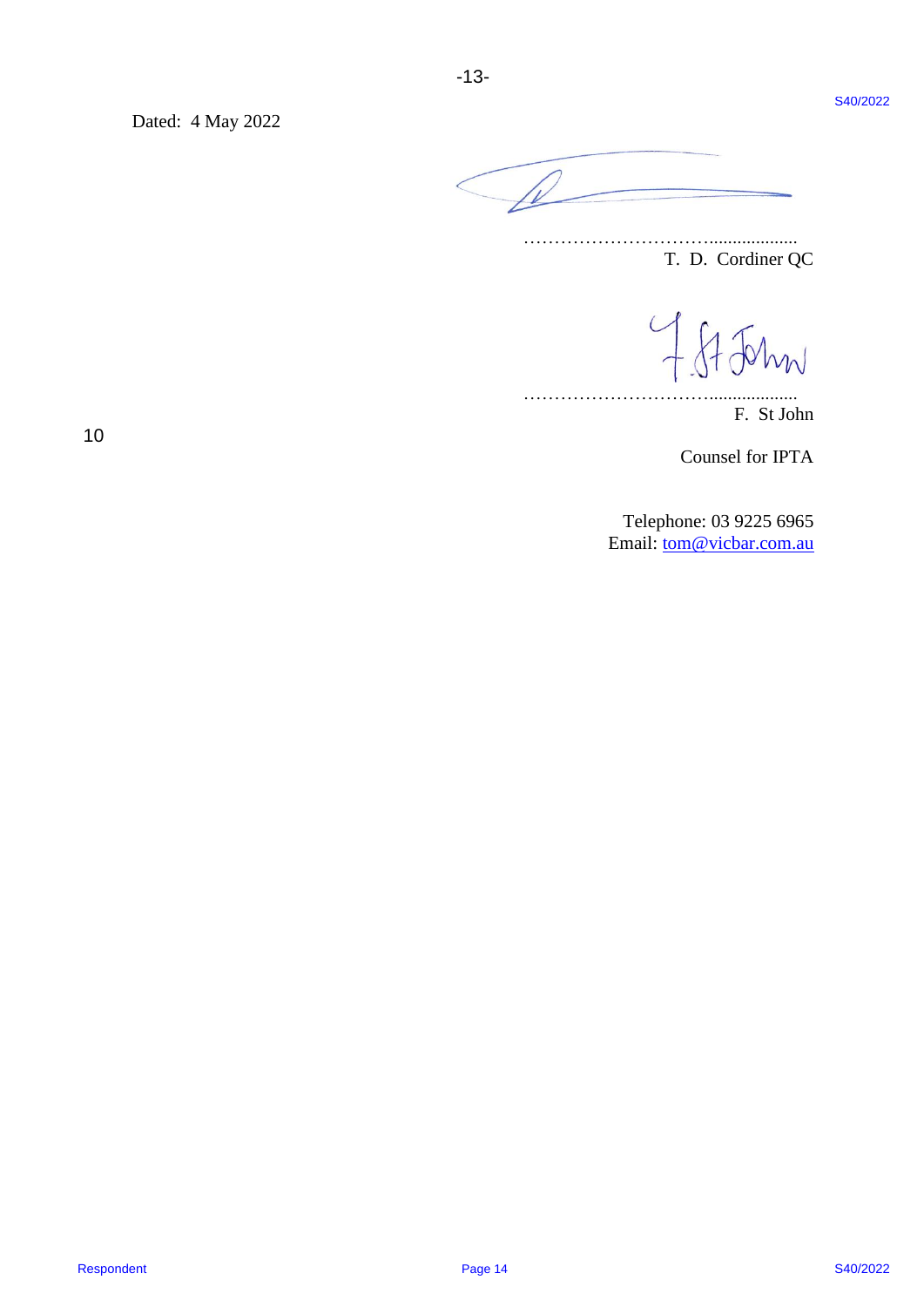Dated: 4 May 2022 Dated: 4 May 2022



…………………………................... T. D. Cordiner QC T. D. Cordiner QC

…………………………................... F. St John F. St John

Counsel for IPTA Counsel for IPTA

Telephone: 03 9225 6965 Telephone: 03 9225 6965 Email: **tom@vicbar.com.au** 

10 10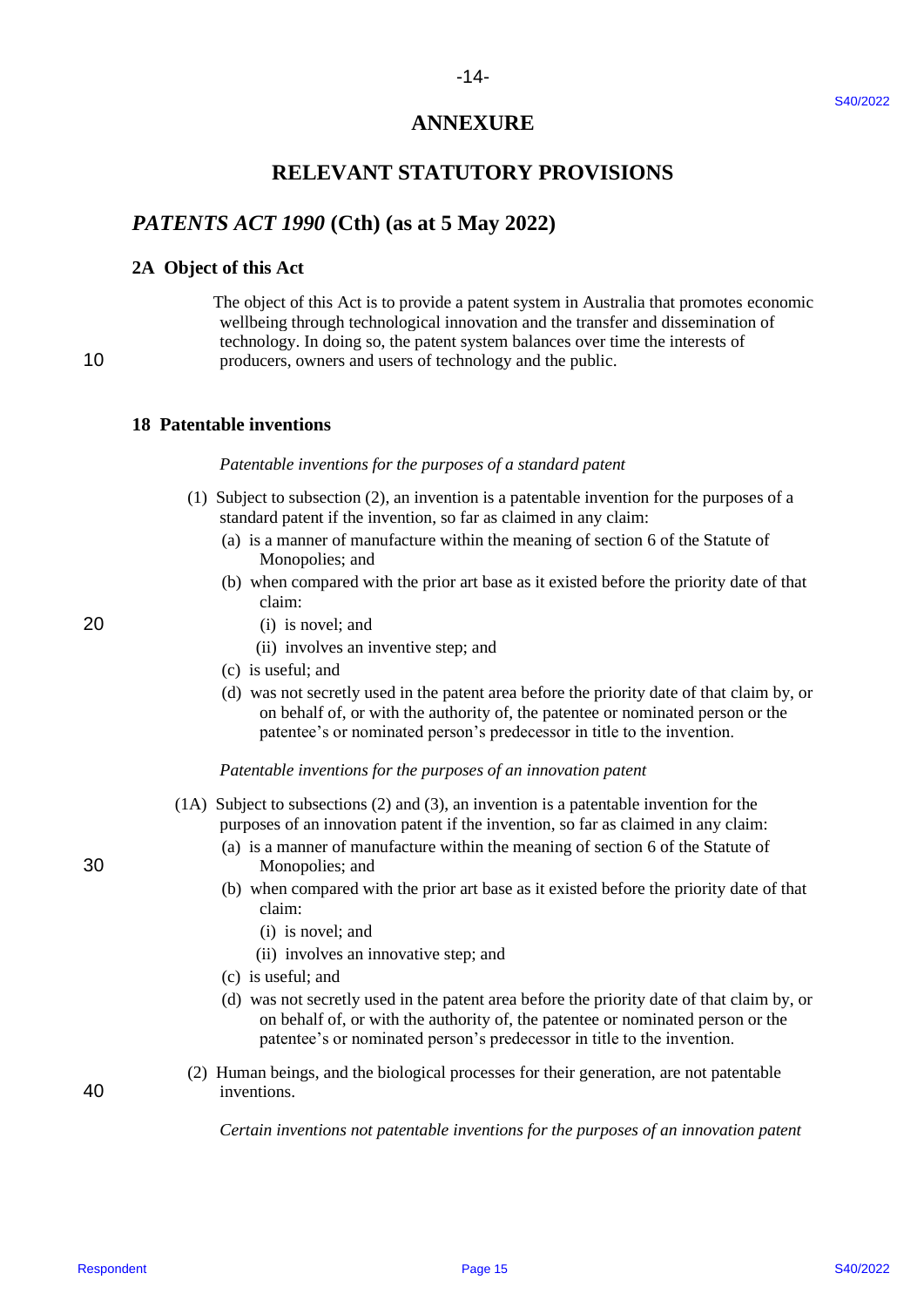# **ANNEXURE** ANNEXURE

# **RELEVANT STATUTORY PROVISIONS** RELEVANT STATUTORY PROVISIONS

## *PATENTS ACT 1990* **(Cth) (as at 5 May 2022)** PATENTS ACT 1990 (Cth) (as at 5 May 2022)

#### **2A Object of this Act** 2A Object of this Act

 The object of this Act is to provide a patent system in Australia that promotes economic The object of this Act is to provide a patent system in Australia that promotes economic wellbeing through technological innovation and the transfer and dissemination of wellbeing through technological innovation and the transfer and dissemination of technology. In doing so, the patent system balances over time the interests of technology. In doing so, the patent system balances over time the interests of 10 producers, owners and users of technology and the public. 10 producers, owners and users of technology and the public. ANNEXTRE<br>
RELEVANT STATUTORY PROVISIONS<br>
RATENTS ACT 1999 (Cth) (as at 5 May 2022)<br>
22. Object to this Act is to provide a path system at America data that promotes systematic<br>
the conject of this Act is to provide a path

#### **18 Patentable inventions** 18 Patentable inventions

#### Patentable inventions for the purposes of a standard patent

- (1) Subject to subsection (2), an invention is a patentable invention for the purposes of a (1) Subject to subsection (2), an invention is a patentable invention for the purposes of a standard patent if the invention, so far as claimed in any claim: standard patent if the invention, so far as claimed in any claim:
- (a) is a manner of manufacture within the meaning of section 6 of the Statute of (a) is amanner of manufacture within the meaning of section 6 of the Statute of Monopolies; and Monopolies; and
- (b) when compared with the prior art base as it existed before the priority date of that (b) when compared with the prior art base as it existed before the priority date of that claim: claim:
- 20 (i) is novel; and 20 (i) is novel; and
	- (ii) involves an inventive step; and (ii) involves an inventive step; and
	- (c) is useful; and (c) is useful; and
	- (d) was not secretly used in the patent area before the priority date of that claim by, or (d) was not secretly used in the patent area before the priority date of that claim by, or on behalf of, or with the authority of, the patentee or nominated person or the patentee's or nominated person's predecessor in title to the invention. patentee's or nominated person's predecessor in title to the invention.

#### Patentable inventions for the purposes of an innovation patent

- (1A) Subject to subsections (2) and (3), an invention is a patentable invention for the (1A) Subject to subsections (2) and (3), an invention is a patentable invention for the purposes of an innovation patent if the invention, so far as claimed in any claim: purposes of an innovation patent if the invention, so far as claimed in any claim:
- (a) is a manner of manufacture within the meaning of section 6 of the Statute of (a) is a manner of manufacture within the meaning of section 6 of the Statute of 30 Monopolies; and 30 Monopolies; and
	- (b) when compared with the prior art base as it existed before the priority date of that (b) when compared with the prior art base as it existed before the priority date of that claim: claim:
	- (i) is novel; and (1) is novel; and
	- (ii) involves an innovative step; and (11) involves an innovative step; and
	- (c) is useful; and (c) is useful; and
	- (d) was not secretly used in the patent area before the priority date of that claim by, or (d) was not secretly used in the patent area before the priority date of that claim by, or on behalf of, or with the authority of, the patentee or nominated person or the patentee's or nominated person's predecessor in title to the invention. patentee's or nominated person's predecessor in title to the invention.
- (2) Human beings, and the biological processes for their generation, are not patentable (2) Human beings, and the biological processes for their generation, are not patentable 40 inventions. 40 inventions.

*Certain inventions not patentable inventions for the purposes of an innovation patent* Certain inventions not patentable inventions for the purposes ofan innovation patent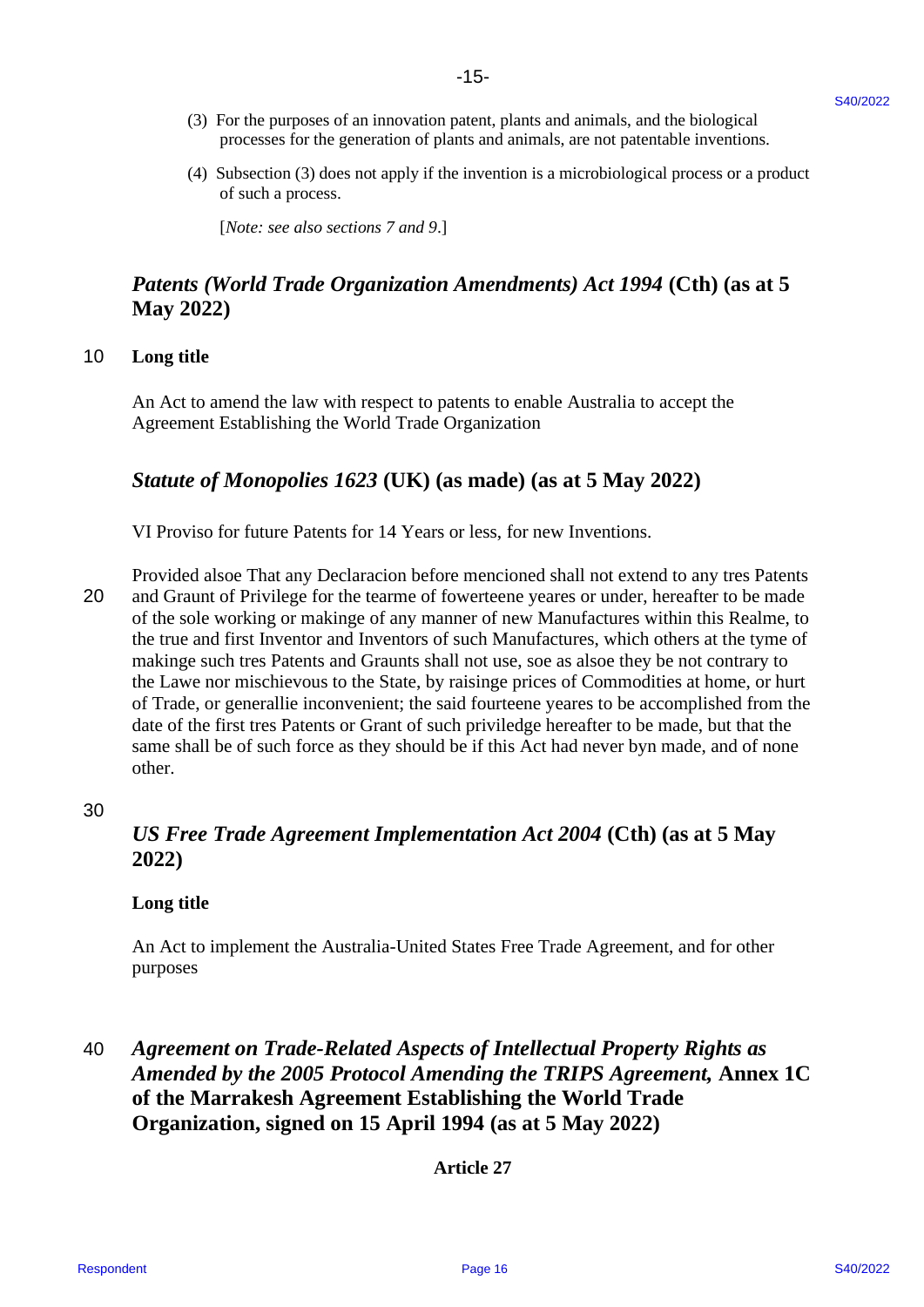- (3) For the purposes of an innovation patent, plants and animals, and the biological (3) For the purposes of an innovation patent, plants and animals, and the biological processes for the generation of plants and animals, are not patentable inventions. processes for the generation of plants and animals, are not patentable inventions.
- (4) Subsection (3) does not apply if the invention is a microbiological process or a product (4) Subsection (3) does not apply if the invention is <sup>a</sup> microbiological process or <sup>a</sup> product of such a process. of such <sup>a</sup> process.

[*Note: see also sections 7 and 9*.] [Note: see also sections 7 and 9.]

# *Patents (World Trade Organization Amendments) Act 1994* **(Cth) (as at 5**  Patents (World Trade Organization Amendments) Act 1994 (Cth) (as at 5 **May 2022)** May 2022)

### 10 **Long title** 10 Long title

An Act to amend the law with respect to patents to enable Australia to accept the An Act to amend the law with respect to patents to enable Australia to accept the Agreement Establishing the World Trade Organization Agreement Establishing the World Trade Organization

# Statute of Monopolies 1623 (UK) (as made) (as at 5 May 2022)

VI Proviso for future Patents for 14 Years or less, for new Inventions. VI Proviso for future Patents for 14 Years or less, for new Inventions.

Provided alsoe That any Declaracion before mencioned shall not extend to any tres Patents Provided alsoe That any Declaracion before mencioned shall not extend to any tres Patents 20 and Graunt of Privilege for the tearme of fowerteene yeares or under, hereafter to be made 20 and Graunt of Privilege for the tearme of fowerteene yeares or under, hereafter to be made of the sole working or makinge of any manner of new Manufactures within this Realme, to the true and first Inventor and Inventors of such Manufactures, which others at the tyme of makinge such tres Patents and Graunts shall not use, soe as alsoe they be not contrary to makinge such tres Patents and Graunts shall not use, soe as alsoe they be not contrary to the Lawe nor mischievous to the State, by raisinge prices of Commodities at home, or hurt the Lawe nor mischievous to the State, by raisinge prices of Commodities at home, or hurt of Trade, or generallie inconvenient; the said fourteene yeares to be accomplished from the date of the first tres Patents or Grant of such priviledge hereafter to be made, but that the date of the first tres Patents or Grant of such priviledge hereafter to be made, but that the same shall be of such force as they should be if this Act had never byn made, and of none other. other. C). The the papears of all the interesting particles and simulations and the biological<br>
The New York (Section C) and the specified system is a material strength of the specified of the specified system (4) stress and a s

#### 30 30

## *US Free Trade Agreement Implementation Act 2004* **(Cth) (as at 5 May**  US Free Trade Agreement Implementation Act 2004 (Cth) (as at 5 May **2022)** 2022)

#### **Long title** Long title

An Act to implement the Australia-United States Free Trade Agreement, and for other An Act to implement the Australia-United States Free Trade Agreement, and for other purposes purposes

# 40 *Agreement on Trade-Related Aspects of Intellectual Property Rights as*  <sup>40</sup> Agreement on Trade-Related Aspects ofIntellectual Property Rights as *Amended by the 2005 Protocol Amending the TRIPS Agreement,* **Annex 1C**  Amended by the 2005 Protocol Amending the TRIPS Agreement, Annex 1C **of the Marrakesh Agreement Establishing the World Trade**  of the Marrakesh Agreement Establishing the World Trade **Organization, signed on 15 April 1994 (as at 5 May 2022)** Organization, signed on <sup>15</sup> April 1994(as at 5 May 2022)

**Article 27** Article 27